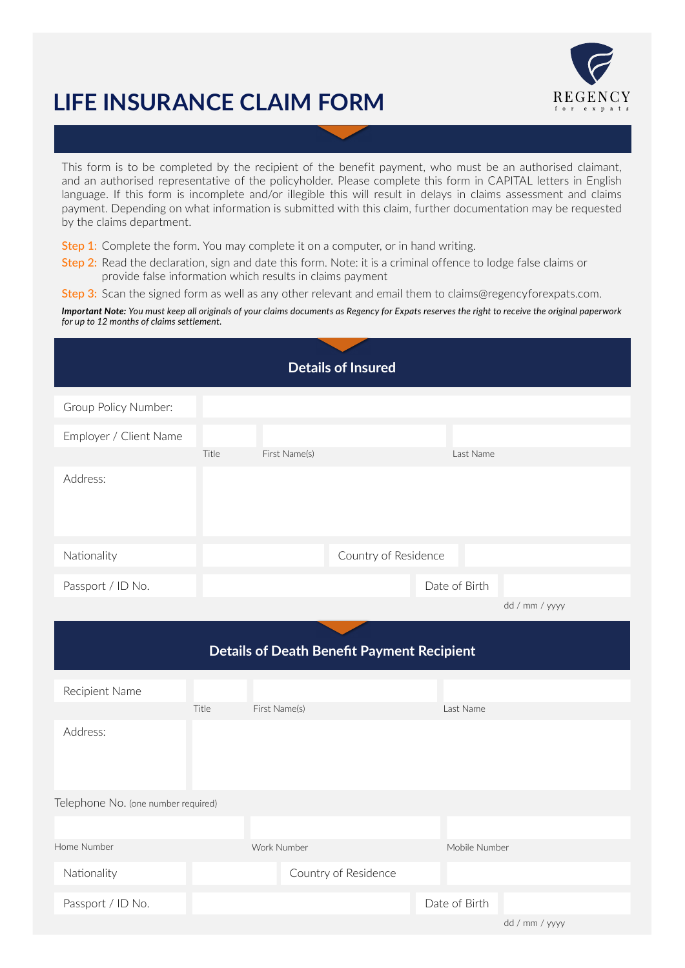# **LIFE INSURANCE CLAIM FORM**



This form is to be completed by the recipient of the benefit payment, who must be an authorised claimant, and an authorised representative of the policyholder. Please complete this form in CAPITAL letters in English language. If this form is incomplete and/or illegible this will result in delays in claims assessment and claims payment. Depending on what information is submitted with this claim, further documentation may be requested by the claims department.

Step 1: Complete the form. You may complete it on a computer, or in hand writing.

Step 2: Read the declaration, sign and date this form. Note: it is a criminal offence to lodge false claims or provide false information which results in claims payment

Step 3: Scan the signed form as well as any other relevant and email them to claims@regencyforexpats.com.

*Important Note: You must keep all originals of your claims documents as Regency for Expats reserves the right to receive the original paperwork for up to 12 months of claims settlement.*

| <b>Details of Insured</b>                         |       |               |                      |               |                |
|---------------------------------------------------|-------|---------------|----------------------|---------------|----------------|
| Group Policy Number:                              |       |               |                      |               |                |
| Employer / Client Name                            |       |               |                      |               |                |
|                                                   | Title | First Name(s) |                      | Last Name     |                |
| Address:                                          |       |               |                      |               |                |
| Nationality                                       |       |               | Country of Residence |               |                |
| Passport / ID No.                                 |       |               |                      | Date of Birth |                |
|                                                   |       |               |                      |               | dd / mm / yyyy |
| <b>Details of Death Benefit Payment Recipient</b> |       |               |                      |               |                |
| Recipient Name                                    |       |               |                      |               |                |
|                                                   | Title | First Name(s) |                      | Last Name     |                |
| Address:                                          |       |               |                      |               |                |
| Telephone No. (one number required)               |       |               |                      |               |                |
|                                                   |       |               |                      |               |                |
| Home Number                                       |       | Work Number   |                      | Mobile Number |                |
| Nationality                                       |       |               | Country of Residence |               |                |
| Passport / ID No.                                 |       |               |                      | Date of Birth |                |
|                                                   |       |               |                      |               | dd / mm / yyyy |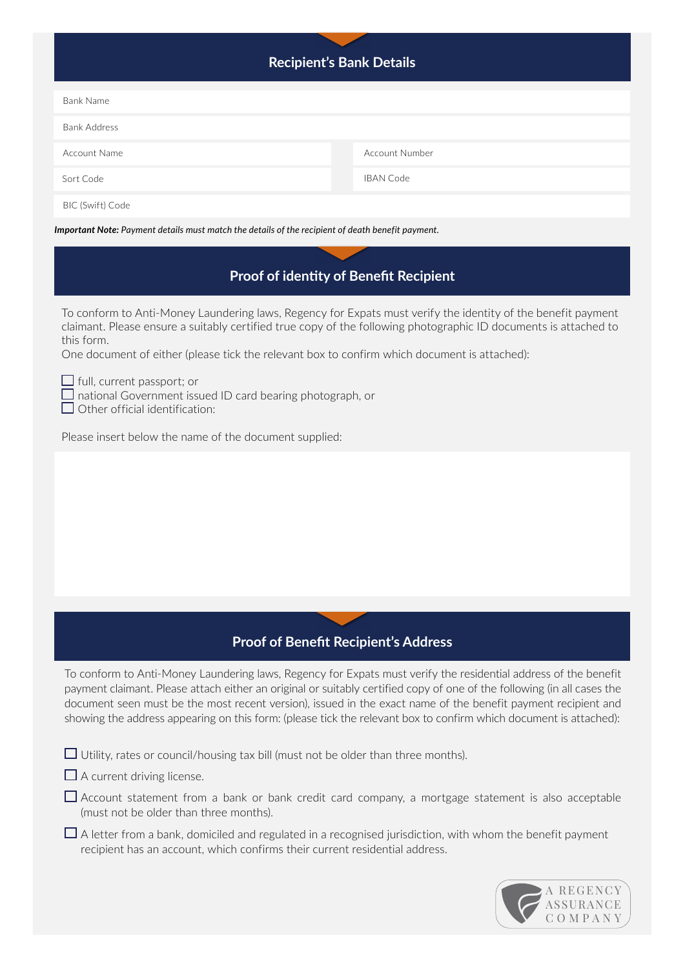| Recipient's Bank Details |
|--------------------------|
|--------------------------|

| Bank Name                                                                                                |                       |  |  |  |
|----------------------------------------------------------------------------------------------------------|-----------------------|--|--|--|
| <b>Bank Address</b>                                                                                      |                       |  |  |  |
| Account Name                                                                                             | <b>Account Number</b> |  |  |  |
| Sort Code                                                                                                | <b>IBAN Code</b>      |  |  |  |
| BIC (Swift) Code                                                                                         |                       |  |  |  |
| <b>Important Note:</b> Payment details must match the details of the recipient of death benefit payment. |                       |  |  |  |

## **Proof of identity of Benefit Recipient**

To conform to Anti-Money Laundering laws, Regency for Expats must verify the identity of the benefit payment claimant. Please ensure a suitably certified true copy of the following photographic ID documents is attached to this form.

One document of either (please tick the relevant box to confirm which document is attached):

 $\Box$  full, current passport; or

 $\Box$  national Government issued ID card bearing photograph, or

 $\Box$  Other official identification:

Please insert below the name of the document supplied:

# **Proof of Benefit Recipient's Address**

To conform to Anti-Money Laundering laws, Regency for Expats must verify the residential address of the benefit payment claimant. Please attach either an original or suitably certified copy of one of the following (in all cases the document seen must be the most recent version), issued in the exact name of the benefit payment recipient and showing the address appearing on this form: (please tick the relevant box to confirm which document is attached):

 $\Box$  Utility, rates or council/housing tax bill (must not be older than three months).

 $\Box$  A current driving license.

Account statement from a bank or bank credit card company, a mortgage statement is also acceptable (must not be older than three months).

 $\Box$  A letter from a bank, domiciled and regulated in a recognised jurisdiction, with whom the benefit payment recipient has an account, which confirms their current residential address.